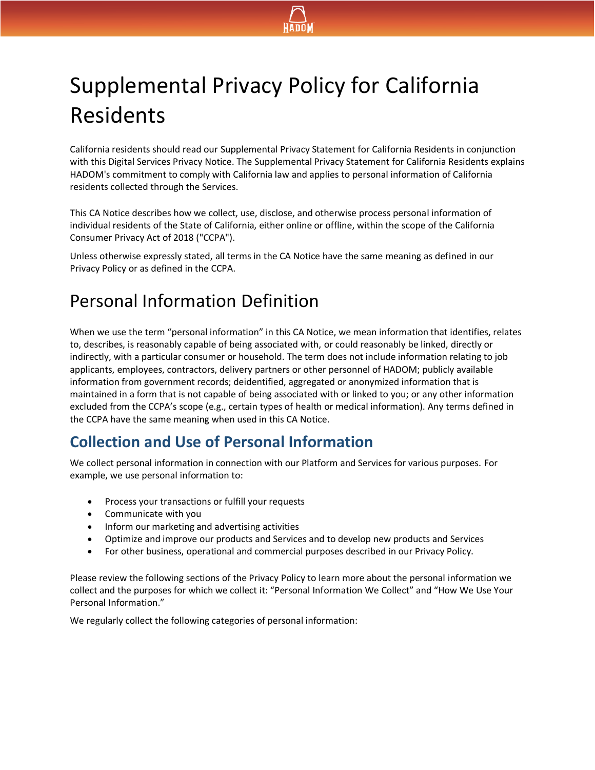

# Supplemental Privacy Policy for California Residents

California residents should read our Supplemental Privacy Statement for California Residents in conjunction with this Digital Services Privacy Notice. The Supplemental Privacy Statement for California Residents explains HADOM's commitment to comply with California law and applies to personal information of California residents collected through the Services.

This CA Notice describes how we collect, use, disclose, and otherwise process personal information of individual residents of the State of California, either online or offline, within the scope of the California Consumer Privacy Act of 2018 ("CCPA").

Unless otherwise expressly stated, all terms in the CA Notice have the same meaning as defined in our Privacy Policy or as defined in the CCPA.

## Personal Information Definition

When we use the term "personal information" in this CA Notice, we mean information that identifies, relates to, describes, is reasonably capable of being associated with, or could reasonably be linked, directly or indirectly, with a particular consumer or household. The term does not include information relating to job applicants, employees, contractors, delivery partners or other personnel of HADOM; publicly available information from government records; deidentified, aggregated or anonymized information that is maintained in a form that is not capable of being associated with or linked to you; or any other information excluded from the CCPA's scope (e.g., certain types of health or medical information). Any terms defined in the CCPA have the same meaning when used in this CA Notice.

#### **Collection and Use of Personal Information**

We collect personal information in connection with our Platform and Services for various purposes. For example, we use personal information to:

- Process your transactions or fulfill your requests
- Communicate with you
- Inform our marketing and advertising activities
- Optimize and improve our products and Services and to develop new products and Services
- For other business, operational and commercial purposes described in our Privacy Policy.

Please review the following sections of the Privacy Policy to learn more about the personal information we collect and the purposes for which we collect it: "Personal Information We Collect" and "How We Use Your Personal Information."

We regularly collect the following categories of personal information: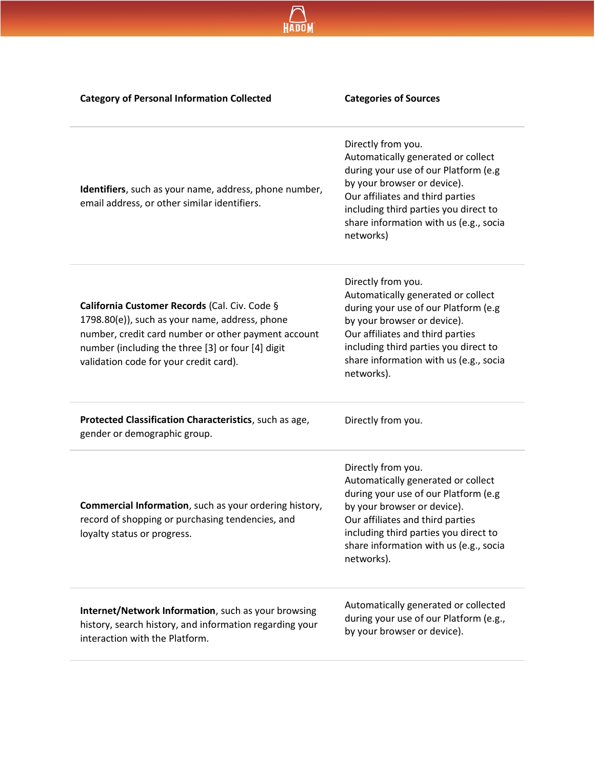| <b>Category of Personal Information Collected</b>                                                                                                                                                                                                     | <b>Categories of Sources</b>                                                                                                                                                                                                                                         |
|-------------------------------------------------------------------------------------------------------------------------------------------------------------------------------------------------------------------------------------------------------|----------------------------------------------------------------------------------------------------------------------------------------------------------------------------------------------------------------------------------------------------------------------|
| Identifiers, such as your name, address, phone number,<br>email address, or other similar identifiers.                                                                                                                                                | Directly from you.<br>Automatically generated or collect<br>during your use of our Platform (e.g<br>by your browser or device).<br>Our affiliates and third parties<br>including third parties you direct to<br>share information with us (e.g., socia<br>networks)  |
| California Customer Records (Cal. Civ. Code §<br>1798.80(e)), such as your name, address, phone<br>number, credit card number or other payment account<br>number (including the three [3] or four [4] digit<br>validation code for your credit card). | Directly from you.<br>Automatically generated or collect<br>during your use of our Platform (e.g<br>by your browser or device).<br>Our affiliates and third parties<br>including third parties you direct to<br>share information with us (e.g., socia<br>networks). |
| Protected Classification Characteristics, such as age,<br>gender or demographic group.                                                                                                                                                                | Directly from you.                                                                                                                                                                                                                                                   |
| Commercial Information, such as your ordering history,<br>record of shopping or purchasing tendencies, and<br>loyalty status or progress.                                                                                                             | Directly from you.<br>Automatically generated or collect<br>during your use of our Platform (e.g<br>by your browser or device).<br>Our affiliates and third parties<br>including third parties you direct to<br>share information with us (e.g., socia<br>networks). |
| Internet/Network Information, such as your browsing<br>history, search history, and information regarding your<br>interaction with the Platform.                                                                                                      | Automatically generated or collected<br>during your use of our Platform (e.g.,<br>by your browser or device).                                                                                                                                                        |

HADOM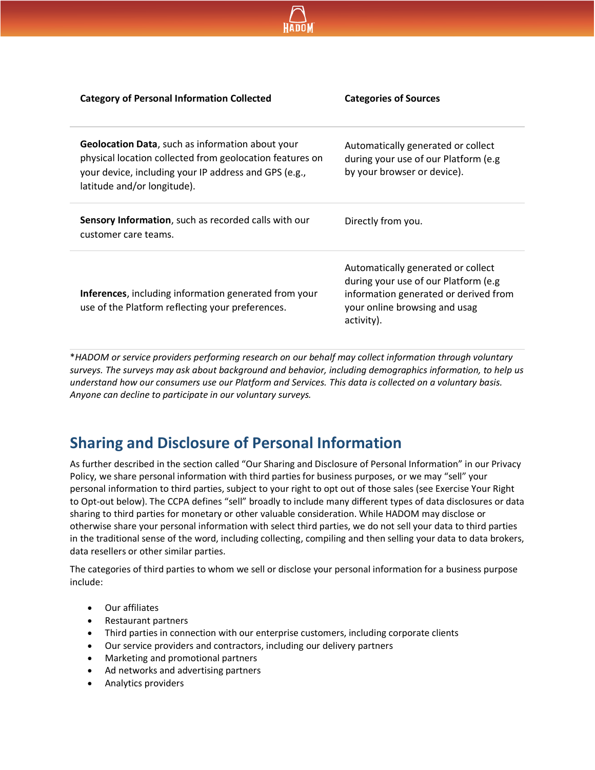| <b>Category of Personal Information Collected</b>                                                                                                                                                           | <b>Categories of Sources</b>                                                                                                                                        |
|-------------------------------------------------------------------------------------------------------------------------------------------------------------------------------------------------------------|---------------------------------------------------------------------------------------------------------------------------------------------------------------------|
| <b>Geolocation Data, such as information about your</b><br>physical location collected from geolocation features on<br>your device, including your IP address and GPS (e.g.,<br>latitude and/or longitude). | Automatically generated or collect<br>during your use of our Platform (e.g.<br>by your browser or device).                                                          |
| Sensory Information, such as recorded calls with our<br>customer care teams.                                                                                                                                | Directly from you.                                                                                                                                                  |
| <b>Inferences</b> , including information generated from your<br>use of the Platform reflecting your preferences.                                                                                           | Automatically generated or collect<br>during your use of our Platform (e.g.<br>information generated or derived from<br>your online browsing and usag<br>activity). |

\**HADOM or service providers performing research on our behalf may collect information through voluntary surveys. The surveys may ask about background and behavior, including demographics information, to help us understand how our consumers use our Platform and Services. This data is collected on a voluntary basis. Anyone can decline to participate in our voluntary surveys.*

#### **Sharing and Disclosure of Personal Information**

As further described in the section called "Our Sharing and Disclosure of Personal Information" in our Privacy Policy, we share personal information with third parties for business purposes, or we may "sell" your personal information to third parties, subject to your right to opt out of those sales (see Exercise Your Right to Opt-out below). The CCPA defines "sell" broadly to include many different types of data disclosures or data sharing to third parties for monetary or other valuable consideration. While HADOM may disclose or otherwise share your personal information with select third parties, we do not sell your data to third parties in the traditional sense of the word, including collecting, compiling and then selling your data to data brokers, data resellers or other similar parties.

The categories of third parties to whom we sell or disclose your personal information for a business purpose include:

- Our affiliates
- Restaurant partners
- Third parties in connection with our enterprise customers, including corporate clients
- Our service providers and contractors, including our delivery partners
- Marketing and promotional partners
- Ad networks and advertising partners
- Analytics providers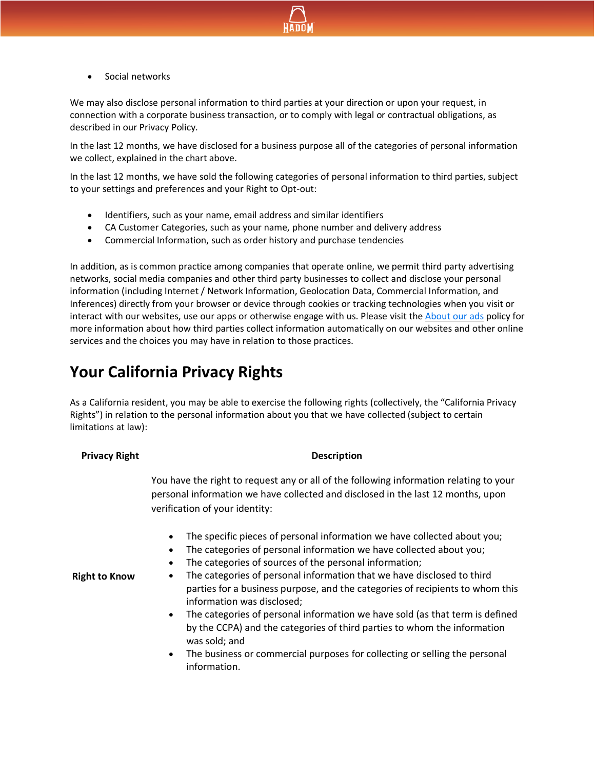

Social networks

We may also disclose personal information to third parties at your direction or upon your request, in connection with a corporate business transaction, or to comply with legal or contractual obligations, as described in our Privacy Policy.

In the last 12 months, we have disclosed for a business purpose all of the categories of personal information we collect, explained in the chart above.

In the last 12 months, we have sold the following categories of personal information to third parties, subject to your settings and preferences and your Right to Opt-out:

- Identifiers, such as your name, email address and similar identifiers
- CA Customer Categories, such as your name, phone number and delivery address
- Commercial Information, such as order history and purchase tendencies

In addition, as is common practice among companies that operate online, we permit third party advertising networks, social media companies and other third party businesses to collect and disclose your personal information (including Internet / Network Information, Geolocation Data, Commercial Information, and Inferences) directly from your browser or device through cookies or tracking technologies when you visit or interact with our websites, use our apps or otherwise engage with us. Please visit the [About our ads](https://www.hadom.com/documents/HADOM_about_our_ads.pdf) policy for more information about how third parties collect information automatically on our websites and other online services and the choices you may have in relation to those practices.

### **Your California Privacy Rights**

As a California resident, you may be able to exercise the following rights (collectively, the "California Privacy Rights") in relation to the personal information about you that we have collected (subject to certain limitations at law):

#### **Pescription**

You have the right to request any or all of the following information relating to your personal information we have collected and disclosed in the last 12 months, upon verification of your identity:

- The specific pieces of personal information we have collected about you;
- The categories of personal information we have collected about you;
- The categories of sources of the personal information;
- The categories of personal information that we have disclosed to third parties for a business purpose, and the categories of recipients to whom this information was disclosed;
- The categories of personal information we have sold (as that term is defined by the CCPA) and the categories of third parties to whom the information was sold; and
- The business or commercial purposes for collecting or selling the personal information.

**Right to Know**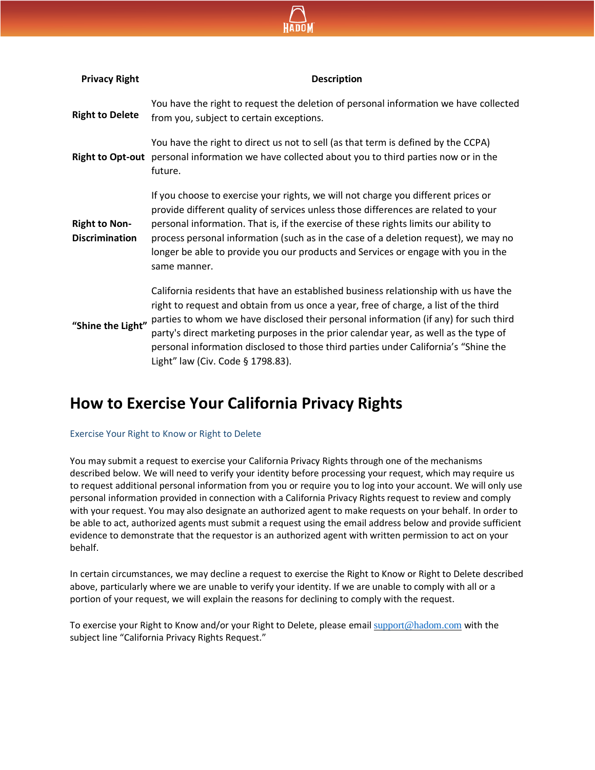

| <b>Privacy Right</b>                          | <b>Description</b>                                                                                                                                                                                                                                                                                                                                                                                                                                                                       |
|-----------------------------------------------|------------------------------------------------------------------------------------------------------------------------------------------------------------------------------------------------------------------------------------------------------------------------------------------------------------------------------------------------------------------------------------------------------------------------------------------------------------------------------------------|
| <b>Right to Delete</b>                        | You have the right to request the deletion of personal information we have collected<br>from you, subject to certain exceptions.                                                                                                                                                                                                                                                                                                                                                         |
|                                               | You have the right to direct us not to sell (as that term is defined by the CCPA)<br>Right to Opt-out personal information we have collected about you to third parties now or in the<br>future.                                                                                                                                                                                                                                                                                         |
| <b>Right to Non-</b><br><b>Discrimination</b> | If you choose to exercise your rights, we will not charge you different prices or<br>provide different quality of services unless those differences are related to your<br>personal information. That is, if the exercise of these rights limits our ability to<br>process personal information (such as in the case of a deletion request), we may no<br>longer be able to provide you our products and Services or engage with you in the<br>same manner.                              |
| "Shine the Light"                             | California residents that have an established business relationship with us have the<br>right to request and obtain from us once a year, free of charge, a list of the third<br>parties to whom we have disclosed their personal information (if any) for such third<br>party's direct marketing purposes in the prior calendar year, as well as the type of<br>personal information disclosed to those third parties under California's "Shine the<br>Light" law (Civ. Code § 1798.83). |

### **How to Exercise Your California Privacy Rights**

#### Exercise Your Right to Know or Right to Delete

You may submit a request to exercise your California Privacy Rights through one of the mechanisms described below. We will need to verify your identity before processing your request, which may require us to request additional personal information from you or require you to log into your account. We will only use personal information provided in connection with a California Privacy Rights request to review and comply with your request. You may also designate an authorized agent to make requests on your behalf. In order to be able to act, authorized agents must submit a request using the email address below and provide sufficient evidence to demonstrate that the requestor is an authorized agent with written permission to act on your behalf.

In certain circumstances, we may decline a request to exercise the Right to Know or Right to Delete described above, particularly where we are unable to verify your identity. If we are unable to comply with all or a portion of your request, we will explain the reasons for declining to comply with the request.

To exercise your Right to Know and/or your Right to Delete, please email [support@hadom.com](mailto:support@hadom.com) with the subject line "California Privacy Rights Request."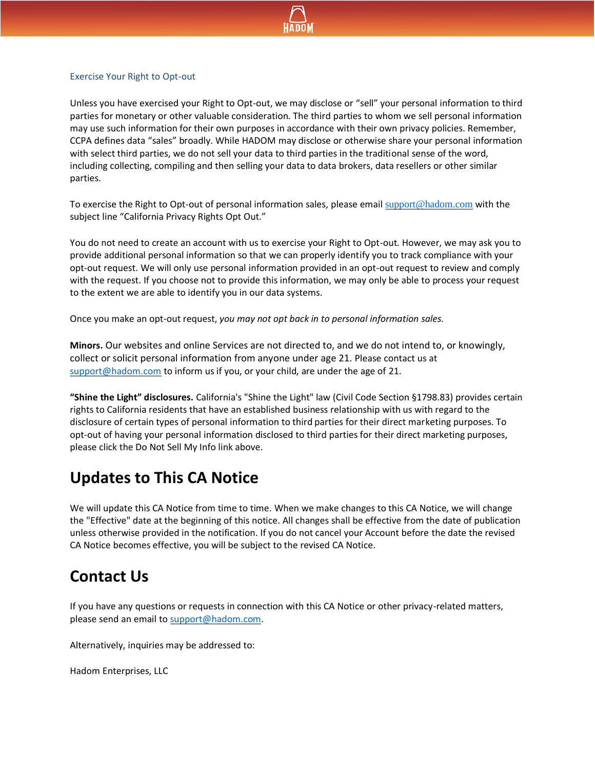

#### Exercise Your Right to Opt-out

Unless you have exercised your Right to Opt-out, we may disclose or "sell" your personal information to third parties for monetary or other valuable consideration. The third parties to whom we sell personal information may use such information for their own purposes in accordance with their own privacy policies. Remember, CCPA defines data "sales" broadly. While HADOM may disclose or otherwise share your personal information with select third parties, we do not sell your data to third parties in the traditional sense of the word, including collecting, compiling and then selling your data to data brokers, data resellers or other similar parties.

To exercise the Right to Opt-out of personal information sales, please email [support@hadom.com](mailto:support@hadom.com) with the subject line "California Privacy Rights Opt Out."

You do not need to create an account with us to exercise your Right to Opt-out. However, we may ask you to provide additional personal information so that we can properly identify you to track compliance with your opt-out request. We will only use personal information provided in an opt-out request to review and comply with the request. If you choose not to provide this information, we may only be able to process your request to the extent we are able to identify you in our data systems.

Once you make an opt-out request, *you may not opt back in to personal information sales.*

**Minors.** Our websites and online Services are not directed to, and we do not intend to, or knowingly, collect or solicit personal information from anyone under age 21. Please contact us at [support@hadom.com](mailto:privacy@grubhub.com) to inform us if you, or your child, are under the age of 21.

**"Shine the Light" disclosures.** California's "Shine the Light" law (Civil Code Section §1798.83) provides certain rights to California residents that have an established business relationship with us with regard to the disclosure of certain types of personal information to third parties for their direct marketing purposes. To opt-out of having your personal information disclosed to third parties for their direct marketing purposes, please click the Do Not Sell My Info link above.

### **Updates to This CA Notice**

We will update this CA Notice from time to time. When we make changes to this CA Notice, we will change the "Effective" date at the beginning of this notice. All changes shall be effective from the date of publication unless otherwise provided in the notification. If you do not cancel your Account before the date the revised CA Notice becomes effective, you will be subject to the revised CA Notice.

#### **Contact Us**

If you have any questions or requests in connection with this CA Notice or other privacy-related matters, please send an email to [support@hadom.com.](mailto:support@hadom.com)

Alternatively, inquiries may be addressed to:

Hadom Enterprises, LLC